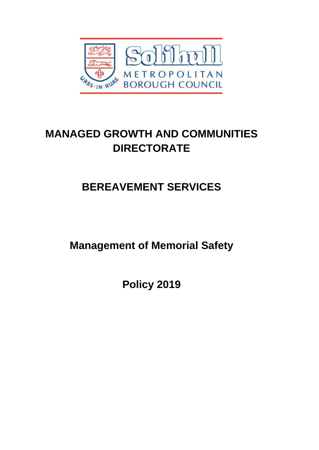

## **MANAGED GROWTH AND COMMUNITIES DIRECTORATE**

# **BEREAVEMENT SERVICES**

**Management of Memorial Safety**

**Policy 2019**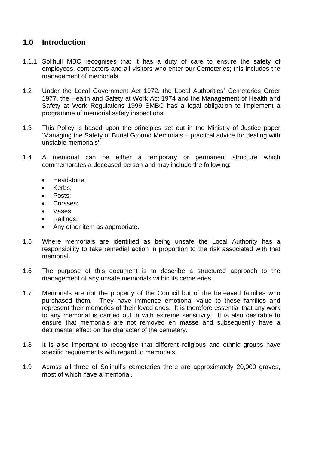## **1.0 Introduction**

- 1.1.1 Solihull MBC recognises that it has a duty of care to ensure the safety of employees, contractors and all visitors who enter our Cemeteries; this includes the management of memorials.
- 1.2 Under the Local Government Act 1972, the Local Authorities' Cemeteries Order 1977, the Health and Safety at Work Act 1974 and the Management of Health and Safety at Work Regulations 1999 SMBC has a legal obligation to implement a programme of memorial safety inspections.
- 1.3 This Policy is based upon the principles set out in the Ministry of Justice paper 'Managing the Safety of Burial Ground Memorials – practical advice for dealing with unstable memorials'.
- 1.4 A memorial can be either a temporary or permanent structure which commemorates a deceased person and may include the following:
	- Headstone:
	- Kerbs;
	- Posts;
	- Crosses:
	- Vases:
	- Railings;
	- Any other item as appropriate.
- 1.5 Where memorials are identified as being unsafe the Local Authority has a responsibility to take remedial action in proportion to the risk associated with that memorial.
- 1.6 The purpose of this document is to describe a structured approach to the management of any unsafe memorials within its cemeteries.
- 1.7 Memorials are not the property of the Council but of the bereaved families who purchased them. They have immense emotional value to these families and represent their memories of their loved ones. It is therefore essential that any work to any memorial is carried out in with extreme sensitivity. It is also desirable to ensure that memorials are not removed en masse and subsequently have a detrimental effect on the character of the cemetery.
- 1.8 It is also important to recognise that different religious and ethnic groups have specific requirements with regard to memorials.
- 1.9 Across all three of Solihull's cemeteries there are approximately 20,000 graves, most of which have a memorial.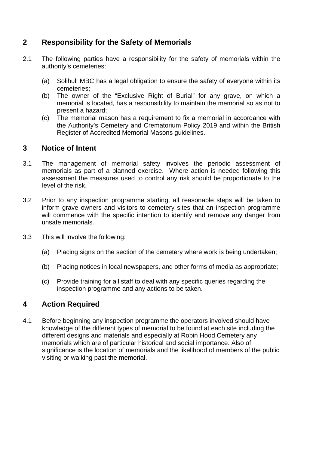## **2 Responsibility for the Safety of Memorials**

- 2.1 The following parties have a responsibility for the safety of memorials within the authority's cemeteries:
	- (a) Solihull MBC has a legal obligation to ensure the safety of everyone within its cemeteries;
	- (b) The owner of the "Exclusive Right of Burial" for any grave, on which a memorial is located, has a responsibility to maintain the memorial so as not to present a hazard;
	- (c) The memorial mason has a requirement to fix a memorial in accordance with the Authority's Cemetery and Crematorium Policy 2019 and within the British Register of Accredited Memorial Masons guidelines.

### **3 Notice of Intent**

- 3.1 The management of memorial safety involves the periodic assessment of memorials as part of a planned exercise. Where action is needed following this assessment the measures used to control any risk should be proportionate to the level of the risk.
- 3.2 Prior to any inspection programme starting, all reasonable steps will be taken to inform grave owners and visitors to cemetery sites that an inspection programme will commence with the specific intention to identify and remove any danger from unsafe memorials.
- 3.3 This will involve the following:
	- (a) Placing signs on the section of the cemetery where work is being undertaken;
	- (b) Placing notices in local newspapers, and other forms of media as appropriate;
	- (c) Provide training for all staff to deal with any specific queries regarding the inspection programme and any actions to be taken.

## **4 Action Required**

4.1 Before beginning any inspection programme the operators involved should have knowledge of the different types of memorial to be found at each site including the different designs and materials and especially at Robin Hood Cemetery any memorials which are of particular historical and social importance. Also of significance is the location of memorials and the likelihood of members of the public visiting or walking past the memorial.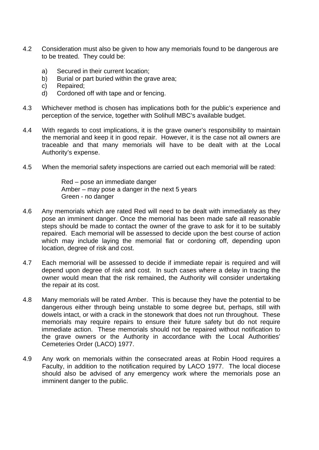- 4.2 Consideration must also be given to how any memorials found to be dangerous are to be treated. They could be:
	- a) Secured in their current location;
	- b) Burial or part buried within the grave area;
	- c) Repaired;
	- d) Cordoned off with tape and or fencing.
- 4.3 Whichever method is chosen has implications both for the public's experience and perception of the service, together with Solihull MBC's available budget.
- 4.4 With regards to cost implications, it is the grave owner's responsibility to maintain the memorial and keep it in good repair. However, it is the case not all owners are traceable and that many memorials will have to be dealt with at the Local Authority's expense.
- 4.5 When the memorial safety inspections are carried out each memorial will be rated:

Red – pose an immediate danger Amber – may pose a danger in the next 5 years Green - no danger

- 4.6 Any memorials which are rated Red will need to be dealt with immediately as they pose an imminent danger. Once the memorial has been made safe all reasonable steps should be made to contact the owner of the grave to ask for it to be suitably repaired. Each memorial will be assessed to decide upon the best course of action which may include laying the memorial flat or cordoning off, depending upon location, degree of risk and cost.
- 4.7 Each memorial will be assessed to decide if immediate repair is required and will depend upon degree of risk and cost. In such cases where a delay in tracing the owner would mean that the risk remained, the Authority will consider undertaking the repair at its cost.
- 4.8 Many memorials will be rated Amber. This is because they have the potential to be dangerous either through being unstable to some degree but, perhaps, still with dowels intact, or with a crack in the stonework that does not run throughout. These memorials may require repairs to ensure their future safety but do not require immediate action. These memorials should not be repaired without notification to the grave owners or the Authority in accordance with the Local Authorities' Cemeteries Order (LACO) 1977.
- 4.9 Any work on memorials within the consecrated areas at Robin Hood requires a Faculty, in addition to the notification required by LACO 1977. The local diocese should also be advised of any emergency work where the memorials pose an imminent danger to the public.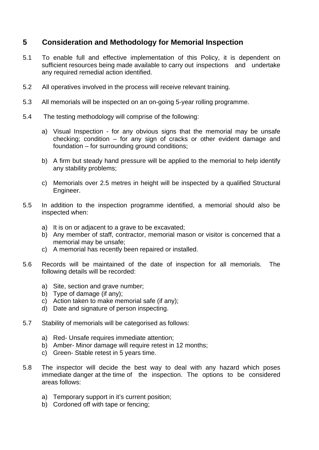## **5 Consideration and Methodology for Memorial Inspection**

- 5.1 To enable full and effective implementation of this Policy, it is dependent on sufficient resources being made available to carry out inspections and undertake any required remedial action identified.
- 5.2 All operatives involved in the process will receive relevant training.
- 5.3 All memorials will be inspected on an on-going 5-year rolling programme.
- 5.4 The testing methodology will comprise of the following:
	- a) Visual Inspection for any obvious signs that the memorial may be unsafe checking; condition – for any sign of cracks or other evident damage and foundation – for surrounding ground conditions;
	- b) A firm but steady hand pressure will be applied to the memorial to help identify any stability problems;
	- c) Memorials over 2.5 metres in height will be inspected by a qualified Structural Engineer.
- 5.5 In addition to the inspection programme identified, a memorial should also be inspected when:
	- a) It is on or adjacent to a grave to be excavated;
	- b) Any member of staff, contractor, memorial mason or visitor is concerned that a memorial may be unsafe;
	- c) A memorial has recently been repaired or installed.
- 5.6 Records will be maintained of the date of inspection for all memorials. The following details will be recorded:
	- a) Site, section and grave number;
	- b) Type of damage (if any);
	- c) Action taken to make memorial safe (if any);
	- d) Date and signature of person inspecting.
- 5.7 Stability of memorials will be categorised as follows:
	- a) Red- Unsafe requires immediate attention;
	- b) Amber- Minor damage will require retest in 12 months;
	- c) Green- Stable retest in 5 years time.
- 5.8 The inspector will decide the best way to deal with any hazard which poses immediate danger at the time of the inspection. The options to be considered areas follows:
	- a) Temporary support in it's current position;
	- b) Cordoned off with tape or fencing;